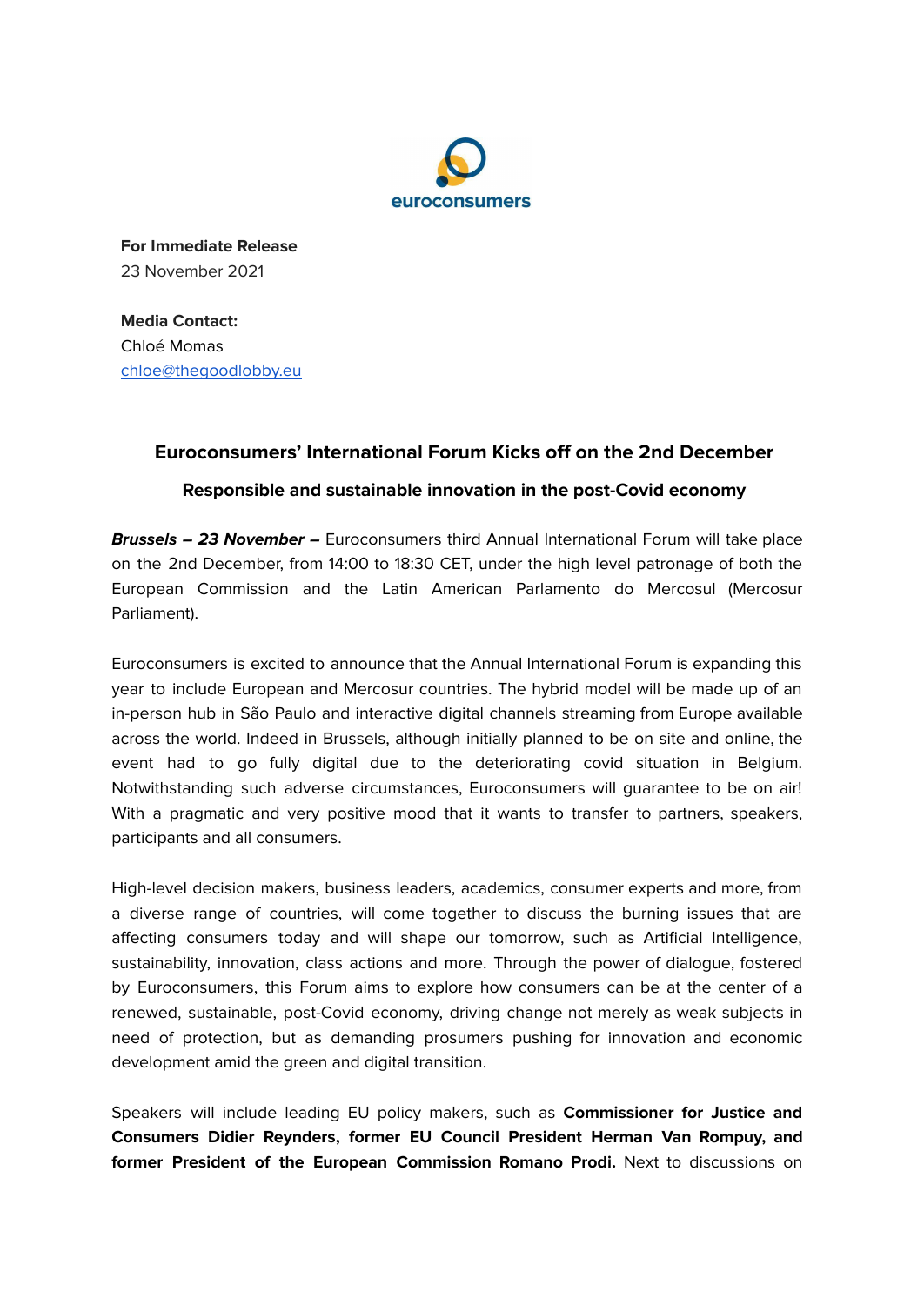

**For Immediate Release** 23 November 2021

**Media Contact:** Chloé Momas [chloe@thegoodlobby.eu](mailto:chloe@thegoodlobby.eu)

## **Euroconsumers' International Forum Kicks off on the 2nd December**

**Responsible and sustainable innovation in the post-Covid economy**

**Brussels – 23 November –** Euroconsumers third Annual International Forum will take place on the 2nd December, from 14:00 to 18:30 CET, under the high level patronage of both the European Commission and the Latin American Parlamento do Mercosul (Mercosur Parliament).

Euroconsumers is excited to announce that the Annual International Forum is expanding this year to include European and Mercosur countries. The hybrid model will be made up of an in-person hub in São Paulo and interactive digital channels streaming from Europe available across the world. Indeed in Brussels, although initially planned to be on site and online, the event had to go fully digital due to the deteriorating covid situation in Belgium. Notwithstanding such adverse circumstances, Euroconsumers will guarantee to be on air! With a pragmatic and very positive mood that it wants to transfer to partners, speakers, participants and all consumers.

High-level decision makers, business leaders, academics, consumer experts and more, from a diverse range of countries, will come together to discuss the burning issues that are affecting consumers today and will shape our tomorrow, such as Artificial Intelligence, sustainability, innovation, class actions and more. Through the power of dialogue, fostered by Euroconsumers, this Forum aims to explore how consumers can be at the center of a renewed, sustainable, post-Covid economy, driving change not merely as weak subjects in need of protection, but as demanding prosumers pushing for innovation and economic development amid the green and digital transition.

Speakers will include leading EU policy makers, such as **Commissioner for Justice and Consumers Didier Reynders, former EU Council President Herman Van Rompuy, and former President of the European Commission Romano Prodi.** Next to discussions on